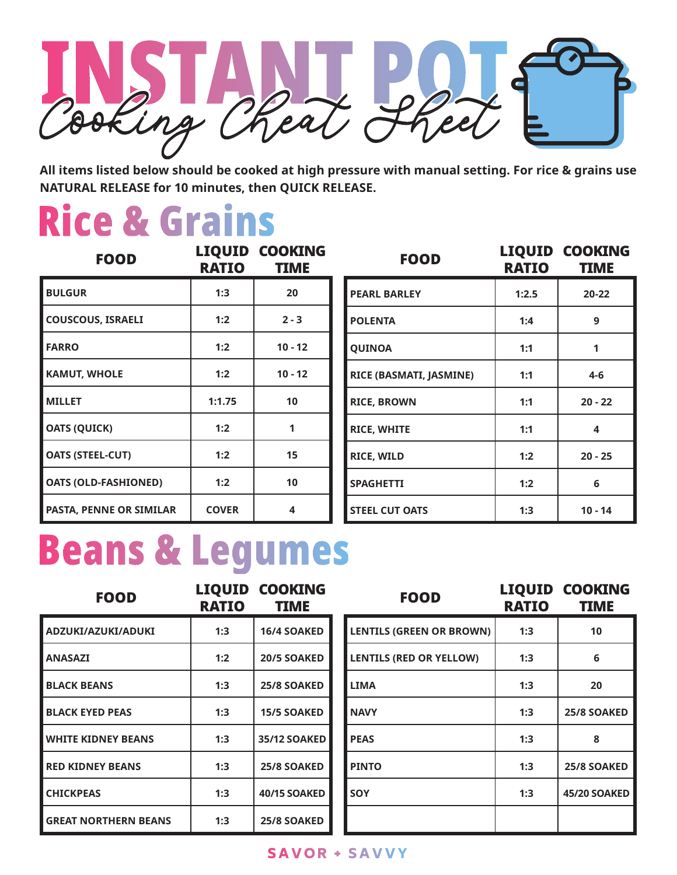

**All items listed below should be cooked at high pressure with manual setting. For rice & grains use NATURAL RELEASE for 10 minutes, then QUICK RELEASE.**

### **Rice & Grains**

| <b>FOOD</b>                    | <b>RATIO</b> | <b>LIQUID COOKING</b><br><b>TIME</b> |
|--------------------------------|--------------|--------------------------------------|
| <b>BULGUR</b>                  | 1:3          | 20                                   |
| <b>COUSCOUS, ISRAELI</b>       | 1:2          | $2 - 3$                              |
| <b>FARRO</b>                   | 1:2          | $10 - 12$                            |
| <b>KAMUT, WHOLE</b>            | 1:2          | $10 - 12$                            |
| <b>MILLET</b>                  | 1:1.75       | 10                                   |
| <b>OATS (QUICK)</b>            | 1:2          |                                      |
| <b>OATS (STEEL-CUT)</b>        | 1:2          | 15                                   |
| <b>OATS (OLD-FASHIONED)</b>    | 1:2          | 10                                   |
| <b>PASTA, PENNE OR SIMILAR</b> | <b>COVER</b> | 4                                    |

| <b>FOOD</b>             | <b>RATIO</b> | <b>LIQUID COOKING</b><br><b>TIME</b> |
|-------------------------|--------------|--------------------------------------|
| <b>PEARL BARLEY</b>     | 1:2.5        | $20 - 22$                            |
| <b>POLENTA</b>          | 1:4          | 9                                    |
| QUINOA                  | 1:1          | 1                                    |
| RICE (BASMATI, JASMINE) | 1:1          | $4 - 6$                              |
| <b>RICE, BROWN</b>      | 1:1          | $20 - 22$                            |
| <b>RICE, WHITE</b>      | 1:1          | 4                                    |
| <b>RICE, WILD</b>       | 1:2          | $20 - 25$                            |
| <b>SPAGHETTI</b>        | 1:2          | 6                                    |
| <b>STEEL CUT OATS</b>   | 1:3          | $10 - 14$                            |

### **Beans & Legumes**

| <b>FOOD</b>                 | <b>LIQUID</b><br><b>RATIO</b> | <b>COOKING</b><br><b>TIME</b> | <b>FOOD</b>                     | <b>LIQUID</b><br><b>RATIO</b> | <b>COOKING</b><br><b>TIME</b> |
|-----------------------------|-------------------------------|-------------------------------|---------------------------------|-------------------------------|-------------------------------|
| ADZUKI/AZUKI/ADUKI          | 1:3                           | <b>16/4 SOAKED</b>            | <b>LENTILS (GREEN OR BROWN)</b> | 1:3                           | 10                            |
| <b>ANASAZI</b>              | 1:2                           | <b>20/5 SOAKED</b>            | <b>LENTILS (RED OR YELLOW)</b>  | 1:3                           | 6                             |
| <b>BLACK BEANS</b>          | 1:3                           | 25/8 SOAKED                   | <b>LIMA</b>                     | 1:3                           | 20                            |
| <b>BLACK EYED PEAS</b>      | 1:3                           | <b>15/5 SOAKED</b>            | <b>NAVY</b>                     | 1:3                           | <b>25/8 SOAKED</b>            |
| <b>WHITE KIDNEY BEANS</b>   | 1:3                           | <b>35/12 SOAKED</b>           | <b>PEAS</b>                     | 1:3                           | 8                             |
| <b>RED KIDNEY BEANS</b>     | 1:3                           | 25/8 SOAKED                   | <b>PINTO</b>                    | 1:3                           | <b>25/8 SOAKED</b>            |
| <b>CHICKPEAS</b>            | 1:3                           | 40/15 SOAKED                  | SOY                             | 1:3                           | 45/20 SOAKED                  |
| <b>GREAT NORTHERN BEANS</b> | 1:3                           | <b>25/8 SOAKED</b>            |                                 |                               |                               |

#### **SAVOR + SAVVY**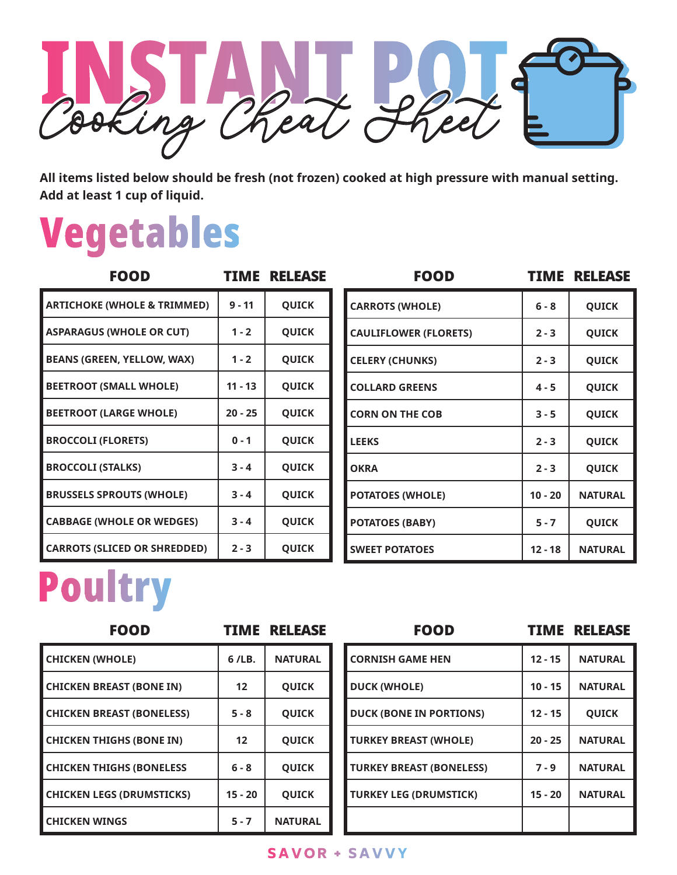

**All items listed below should be fresh (not frozen) cooked at high pressure with manual setting. Add at least 1 cup of liquid.** 

# **Vegetables**

| <b>FOOD</b>                            |           | <b>TIME RELEASE</b> | <b>FOOD</b>                  |           | <b>TIME RELEASE</b> |
|----------------------------------------|-----------|---------------------|------------------------------|-----------|---------------------|
| <b>ARTICHOKE (WHOLE &amp; TRIMMED)</b> | $9 - 11$  | QUICK               | <b>CARROTS (WHOLE)</b>       | $6 - 8$   | <b>QUICK</b>        |
| <b>ASPARAGUS (WHOLE OR CUT)</b>        | $1 - 2$   | QUICK               | <b>CAULIFLOWER (FLORETS)</b> | $2 - 3$   | <b>QUICK</b>        |
| <b>BEANS (GREEN, YELLOW, WAX)</b>      | $1 - 2$   | <b>QUICK</b>        | <b>CELERY (CHUNKS)</b>       | $2 - 3$   | <b>QUICK</b>        |
| <b>BEETROOT (SMALL WHOLE)</b>          | $11 - 13$ | QUICK               | <b>COLLARD GREENS</b>        | $4 - 5$   | <b>QUICK</b>        |
| <b>BEETROOT (LARGE WHOLE)</b>          | $20 - 25$ | <b>QUICK</b>        | <b>CORN ON THE COB</b>       | $3 - 5$   | <b>QUICK</b>        |
| <b>BROCCOLI (FLORETS)</b>              | $0 - 1$   | <b>QUICK</b>        | <b>LEEKS</b>                 | $2 - 3$   | <b>QUICK</b>        |
| <b>BROCCOLI (STALKS)</b>               | $3 - 4$   | <b>QUICK</b>        | <b>OKRA</b>                  | $2 - 3$   | <b>QUICK</b>        |
| <b>BRUSSELS SPROUTS (WHOLE)</b>        | $3 - 4$   | <b>QUICK</b>        | <b>POTATOES (WHOLE)</b>      | $10 - 20$ | <b>NATURAL</b>      |
| <b>CABBAGE (WHOLE OR WEDGES)</b>       | $3 - 4$   | <b>QUICK</b>        | <b>POTATOES (BABY)</b>       | $5 - 7$   | <b>QUICK</b>        |
| <b>CARROTS (SLICED OR SHREDDED)</b>    | $2 - 3$   | <b>QUICK</b>        | <b>SWEET POTATOES</b>        | $12 - 18$ | <b>NATURAL</b>      |

# **Poultry**

| <b>FOOD</b>                      |                   | <b>TIME RELEASE</b> | <b>FOOD</b>                     |           | <b>TIME RELEASE</b> |
|----------------------------------|-------------------|---------------------|---------------------------------|-----------|---------------------|
| <b>CHICKEN (WHOLE)</b>           | 6 /LB.            | <b>NATURAL</b>      | <b>CORNISH GAME HEN</b>         | $12 - 15$ | <b>NATURAL</b>      |
| <b>CHICKEN BREAST (BONE IN)</b>  | 12                | <b>QUICK</b>        | <b>DUCK (WHOLE)</b>             | $10 - 15$ | <b>NATURAL</b>      |
| <b>CHICKEN BREAST (BONELESS)</b> | $5 - 8$           | <b>QUICK</b>        | <b>DUCK (BONE IN PORTIONS)</b>  | $12 - 15$ | <b>QUICK</b>        |
| <b>CHICKEN THIGHS (BONE IN)</b>  | $12 \overline{ }$ | <b>QUICK</b>        | <b>TURKEY BREAST (WHOLE)</b>    | $20 - 25$ | <b>NATURAL</b>      |
| <b>CHICKEN THIGHS (BONELESS</b>  | $6 - 8$           | <b>QUICK</b>        | <b>TURKEY BREAST (BONELESS)</b> | $7 - 9$   | <b>NATURAL</b>      |
| <b>CHICKEN LEGS (DRUMSTICKS)</b> | $15 - 20$         | <b>QUICK</b>        | <b>TURKEY LEG (DRUMSTICK)</b>   | $15 - 20$ | <b>NATURAL</b>      |
| <b>CHICKEN WINGS</b>             | $5 - 7$           | <b>NATURAL</b>      |                                 |           |                     |

#### **SAVOR + SAVVY**